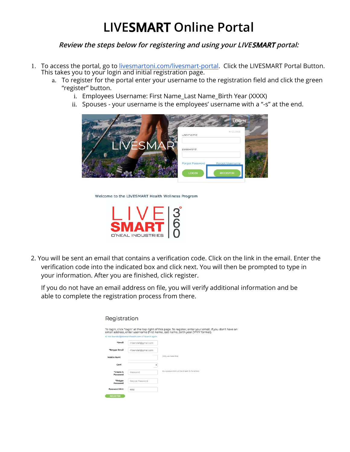## **LIVESMART Online Portal**

**Review the steps below for registering and using your LIVESMART portal:**

- 1. To access the portal, go to [livesmartoni.com/livesmart-portal](http://www.livesmartoni.com/livesmart-portal). Click the LIVESMART Portal Button. This takes you to your login and initial registration page.
	- a. To register for the portal enter your username to the registration field and click the green "register" button.
		- i. Employees Username: First Name\_Last Name\_Birth Year (XXXX)
		- ii. Spouses your username is the employees' username with a "-s" at the end.



Welcome to the LIVESMART Health Wellness Program



 $Dacitoration$ 

2. You will be sent an email that contains a verification code. Click on the link in the email. Enter the verification code into the indicated box and click next. You will then be prompted to type in your information. After you are finished, click register.

If you do not have an email address on file, you will verify additional information and be able to complete the registration process from there.

| <b>Registration</b>   |                                                   |                                                                                                                                                                                             |
|-----------------------|---------------------------------------------------|---------------------------------------------------------------------------------------------------------------------------------------------------------------------------------------------|
|                       | < Not Ibendall@elementhealth.com-s? Search again. | To login, click "login" at the top right of this page. To register, enter your email. If you don't have an<br>email address, enter username (first name_last name_birth year (YYYY format). |
| *Email                | rhbendall@gmail.com                               |                                                                                                                                                                                             |
| *Retype Email         | rhbendall@gmail.com                               |                                                                                                                                                                                             |
| Mobile Numl           |                                                   | (Why we need this)                                                                                                                                                                          |
| Carri                 | ¢                                                 |                                                                                                                                                                                             |
| *Create A<br>Password | Password                                          | Your password must be at least 6 characters."                                                                                                                                               |
| *Retype<br>Password   | Retype Password                                   |                                                                                                                                                                                             |
| <b>Password Hint</b>  | easy                                              |                                                                                                                                                                                             |
| <b>REGISTER</b>       |                                                   |                                                                                                                                                                                             |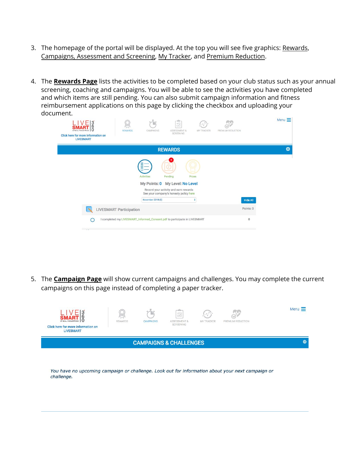- 3. The homepage of the portal will be displayed. At the top you will see five graphics: Rewards, Campaigns, Assessment and Screening, My Tracker, and Premium Reduction.
- 4. The **Rewards Page** lists the activities to be completed based on your club status such as your annual screening, coaching and campaigns. You will be able to see the activities you have completed and which items are still pending. You can also submit campaign information and fitness reimbursement applications on this page by clicking the checkbox and uploading your document.

| 6<br>D'NEAL INDUSTRIES<br><b>Click here for more information on</b><br><b>LIVESMART</b> | <b>REWARDS</b>                 | CAMPAIGNS                                   | -alla-<br>$\vee\Box$<br><b>DD</b><br>ASSESSMENT &<br>SCREENING                                                                | MY TRACKER    | PREMIUM REDUCTION            | Menu $\equiv$ |  |
|-----------------------------------------------------------------------------------------|--------------------------------|---------------------------------------------|-------------------------------------------------------------------------------------------------------------------------------|---------------|------------------------------|---------------|--|
|                                                                                         | <b>REWARDS</b>                 |                                             |                                                                                                                               |               |                              |               |  |
|                                                                                         | <b>LIVESMART Participation</b> | ☑<br><b>Activities</b><br>November 2018 (0) | Pending<br>My Points: 0 My Level: No Level<br>Record your activity and earn rewards<br>See your company's honesty policy here | <b>Prizes</b> | <b>Hide All</b><br>Points: 0 |               |  |
|                                                                                         |                                |                                             | I completed my LIVESMART_Informed_Consent.pdf to participate in LIVESMART                                                     |               | $\bf{0}$                     |               |  |
| ◯                                                                                       |                                |                                             |                                                                                                                               |               |                              |               |  |

5. The **Campaign Page** will show current campaigns and challenges. You may complete the current campaigns on this page instead of completing a paper tracker.



You have no upcoming campaign or challenge. Look out for information about your next campaign or challenge.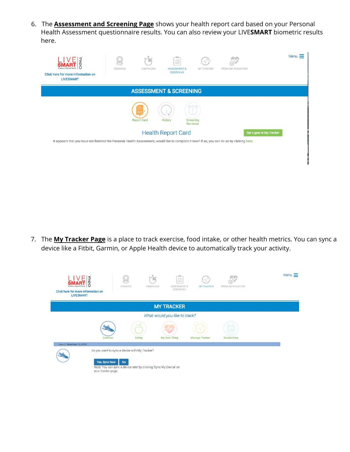6. The **Assessment and Screening Page** shows your health report card based on your Personal Health Assessment questionnaire results. You can also review your LIVE**SMART** biometric results here.

| 500<br>$LIVE$<br>SMART<br>Click here for more information on<br><b>LIVESMART</b>                                                            | REWARDS | CAMPAIGNS          | $-$ and $-$<br>$_{\square\Box}^{\vee\Box}$<br><b>ASSESSMENT &amp;</b><br><b>SCREENING</b> | <b>MY TRACKER</b>     | PREMIUM REDUCTION | Menu $\equiv$ |  |  |
|---------------------------------------------------------------------------------------------------------------------------------------------|---------|--------------------|-------------------------------------------------------------------------------------------|-----------------------|-------------------|---------------|--|--|
| <b>ASSESSMENT &amp; SCREENING</b>                                                                                                           |         |                    |                                                                                           |                       |                   |               |  |  |
|                                                                                                                                             |         | <b>Report Card</b> | History                                                                                   | Screening<br>Reminder |                   |               |  |  |
| <b>Health Report Card</b><br>Set a goal in My Tracker                                                                                       |         |                    |                                                                                           |                       |                   |               |  |  |
| It appears that you have not finished the Personal Health Assessment, would like to complete it now? if so, you can do so by clicking here. |         |                    |                                                                                           |                       |                   |               |  |  |
|                                                                                                                                             |         |                    |                                                                                           |                       |                   |               |  |  |

7. The **My Tracker Page** is a place to track exercise, food intake, or other health metrics. You can sync a device like a Fitbit, Garmin, or Apple Health device to automatically track your activity.

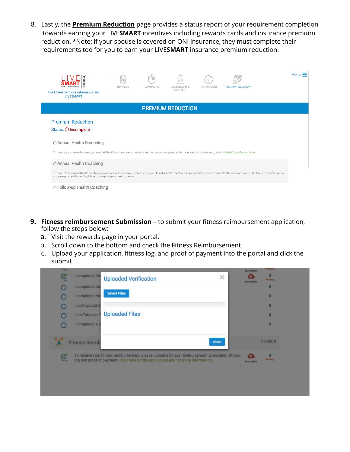8. Lastly, the **Premium Reduction** page provides a status report of your requirement completion towards earning your LIVE**SMART** incentives including rewards cards and insurance premium reduction. \*Note: if your spouse is covered on ONI insurance, they must complete their requirements too for you to earn your LIVE**SMART** insurance premium reduction.

| Click here for more information on<br><b>LIVESMART</b>                                                                                                                                                                                                                                                                | REWARDS | CAMPAIGNS | $-$ photo-<br>$\vee \square$<br><b>DD</b><br><b>ASSESSMENT &amp;</b><br><b>SCREENING</b> | <b>MY TRACKER</b> | <b>PREMIUM REDUCTION</b> | Menu = |
|-----------------------------------------------------------------------------------------------------------------------------------------------------------------------------------------------------------------------------------------------------------------------------------------------------------------------|---------|-----------|------------------------------------------------------------------------------------------|-------------------|--------------------------|--------|
|                                                                                                                                                                                                                                                                                                                       |         |           | <b>PREMIUM REDUCTION</b>                                                                 |                   |                          |        |
| <b>Premium Reduction</b><br>Status: O Incomplete                                                                                                                                                                                                                                                                      |         |           |                                                                                          |                   |                          |        |
| ○ Annual Health Screening<br>To complete your annual screening, check LIVESMART's summer tour schedule or send in your screening results from your medical provider using the LIVESMART Qualification Form.                                                                                                           |         |           |                                                                                          |                   |                          |        |
| ○ Annual Health Coaching<br>To complete your annual health coaching you will need to have complete your screening onsite with a health coach or had your provider send in a completed Qualification Form. LIVESMART will contact you to<br>complete your health coaching following receipt of your screening results. |         |           |                                                                                          |                   |                          |        |
| ○ Follow-up Health Coaching                                                                                                                                                                                                                                                                                           |         |           |                                                                                          |                   |                          |        |

- **9. Fitness reimbursement Submission** to submit your fitness reimbursement application, follow the steps below:
	- a. Visit the rewards page in your portal.
	- b. Scroll down to the bottom and check the Fitness Reimbursement
	- c. Upload your application, fitness log, and proof of payment into the portal and click the submit